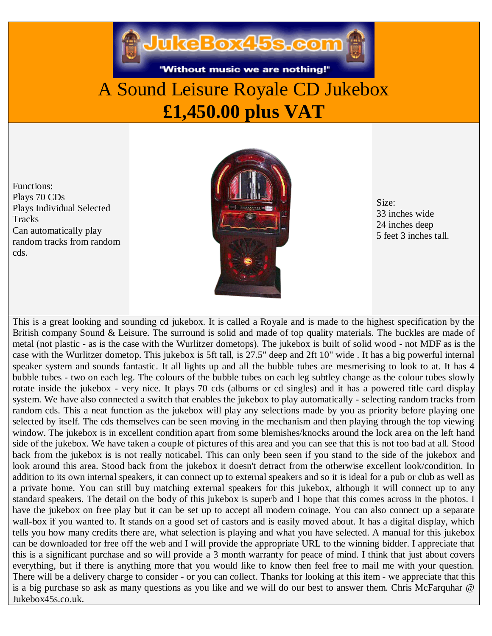"Without music we are nothing!"

## A Sound Leisure Royale CD Jukebox **£1,450.00 plus VAT**

Functions: Plays 70 CDs Plays Individual Selected **Tracks** Can automatically play random tracks from random cds.



Size: 33 inches wide 24 inches deep 5 feet 3 inches tall.

This is a great looking and sounding cd jukebox. It is called a Royale and is made to the highest specification by the British company Sound & Leisure. The surround is solid and made of top quality materials. The buckles are made of metal (not plastic - as is the case with the Wurlitzer dometops). The jukebox is built of solid wood - not MDF as is the case with the Wurlitzer dometop. This jukebox is 5ft tall, is 27.5" deep and 2ft 10" wide . It has a big powerful internal speaker system and sounds fantastic. It all lights up and all the bubble tubes are mesmerising to look to at. It has 4 bubble tubes - two on each leg. The colours of the bubble tubes on each leg subtley change as the colour tubes slowly rotate inside the jukebox - very nice. It plays 70 cds (albums or cd singles) and it has a powered title card display system. We have also connected a switch that enables the jukebox to play automatically - selecting random tracks from random cds. This a neat function as the jukebox will play any selections made by you as priority before playing one selected by itself. The cds themselves can be seen moving in the mechanism and then playing through the top viewing window. The jukebox is in excellent condition apart from some blemishes/knocks around the lock area on the left hand side of the jukebox. We have taken a couple of pictures of this area and you can see that this is not too bad at all. Stood back from the jukebox is is not really noticabel. This can only been seen if you stand to the side of the jukebox and look around this area. Stood back from the jukebox it doesn't detract from the otherwise excellent look/condition. In addition to its own internal speakers, it can connect up to external speakers and so it is ideal for a pub or club as well as a private home. You can still buy matching external speakers for this jukebox, although it will connect up to any standard speakers. The detail on the body of this jukebox is superb and I hope that this comes across in the photos. I have the jukebox on free play but it can be set up to accept all modern coinage. You can also connect up a separate wall-box if you wanted to. It stands on a good set of castors and is easily moved about. It has a digital display, which tells you how many credits there are, what selection is playing and what you have selected. A manual for this jukebox can be downloaded for free off the web and I will provide the appropriate URL to the winning bidder. I appreciate that this is a significant purchase and so will provide a 3 month warranty for peace of mind. I think that just about covers everything, but if there is anything more that you would like to know then feel free to mail me with your question. There will be a delivery charge to consider - or you can collect. Thanks for looking at this item - we appreciate that this is a big purchase so ask as many questions as you like and we will do our best to answer them. Chris McFarquhar @ Jukebox45s.co.uk.